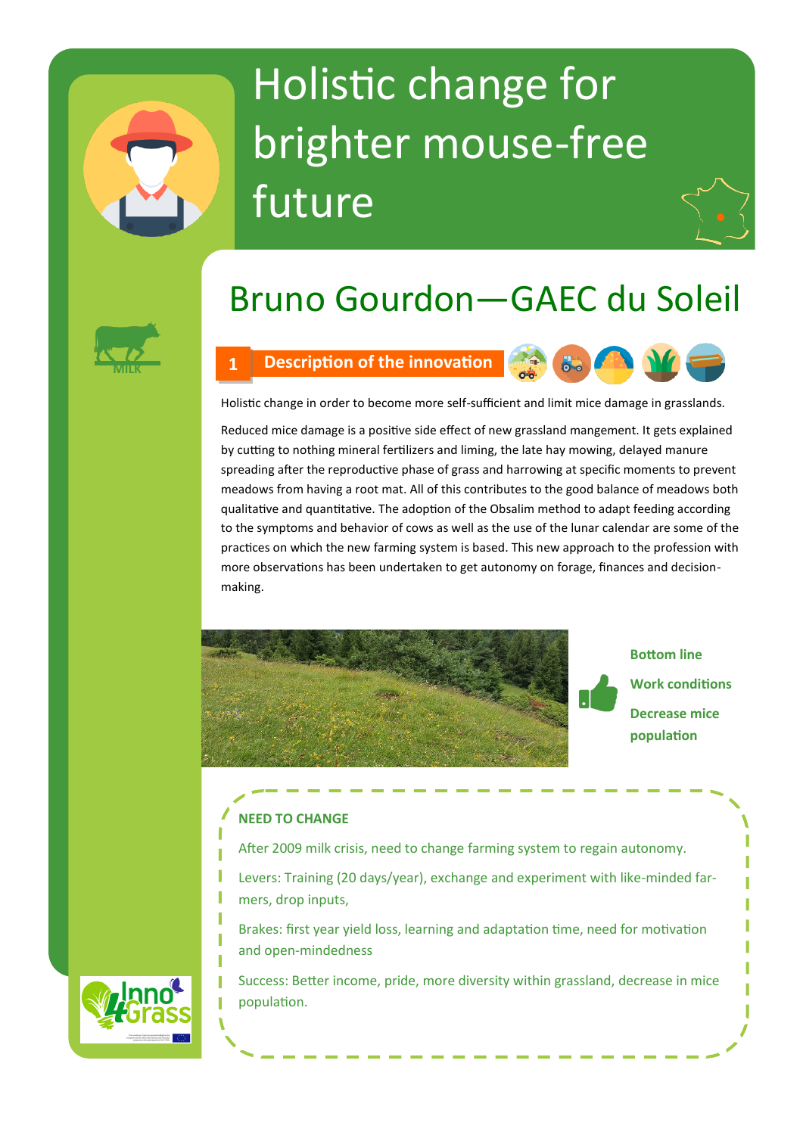# Holistic change for brighter mouse-free future

# Bruno Gourdon—GAEC du Soleil



### **MILK 1 Description of the innovation**



Holistic change in order to become more self-sufficient and limit mice damage in grasslands.

Reduced mice damage is a positive side effect of new grassland mangement. It gets explained by cutting to nothing mineral fertilizers and liming, the late hay mowing, delayed manure spreading after the reproductive phase of grass and harrowing at specific moments to prevent meadows from having a root mat. All of this contributes to the good balance of meadows both qualitative and quantitative. The adoption of the Obsalim method to adapt feeding according to the symptoms and behavior of cows as well as the use of the lunar calendar are some of the practices on which the new farming system is based. This new approach to the profession with more observations has been undertaken to get autonomy on forage, finances and decisionmaking.



# **Bottom line Work conditions Decrease mice population**

## **NEED TO CHANGE**

- After 2009 milk crisis, need to change farming system to regain autonomy.
- Levers: Training (20 days/year), exchange and experiment with like-minded farmers, drop inputs,
	- Brakes: first year yield loss, learning and adaptation time, need for motivation and open-mindedness

Success: Better income, pride, more diversity within grassland, decrease in mice population.